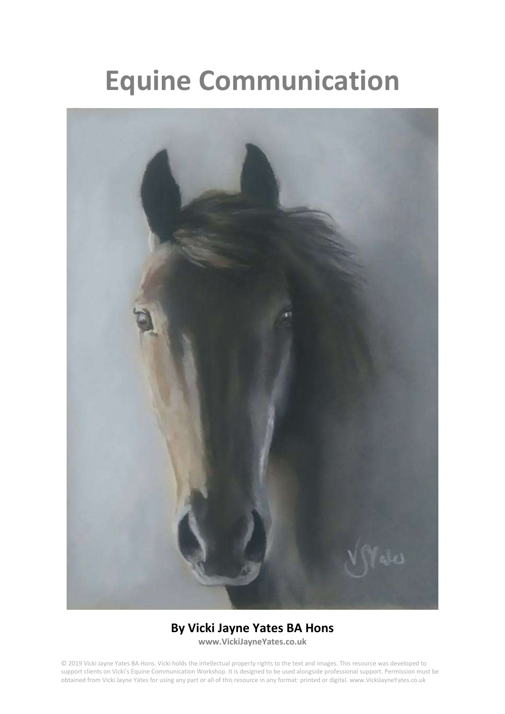# **Equine Communication**



# **By Vicki Jayne Yates BA Hons**

**www.VickiJayneYates.co.uk**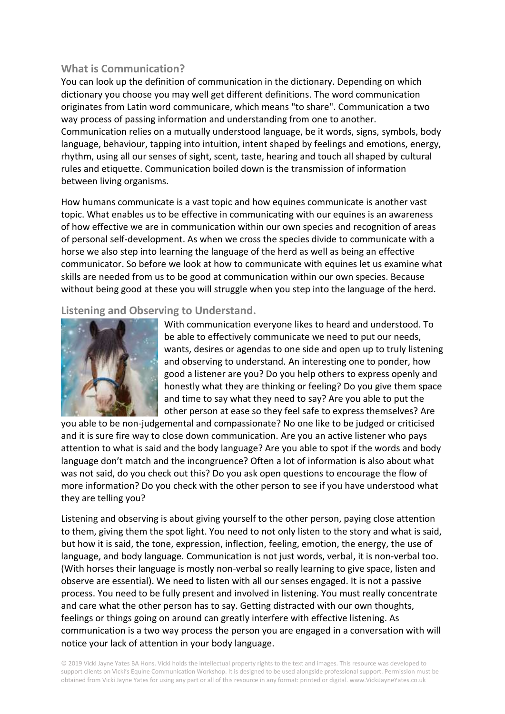# **What is Communication?**

You can look up the definition of communication in the dictionary. Depending on which dictionary you choose you may well get different definitions. The word communication originates from Latin word communicare, which means "to share". Communication a two way process of passing information and understanding from one to another. Communication relies on a mutually understood language, be it words, signs, symbols, body language, behaviour, tapping into intuition, intent shaped by feelings and emotions, energy, rhythm, using all our senses of sight, scent, taste, hearing and touch all shaped by cultural rules and etiquette. Communication boiled down is the transmission of information between living organisms.

How humans communicate is a vast topic and how equines communicate is another vast topic. What enables us to be effective in communicating with our equines is an awareness of how effective we are in communication within our own species and recognition of areas of personal self-development. As when we cross the species divide to communicate with a horse we also step into learning the language of the herd as well as being an effective communicator. So before we look at how to communicate with equines let us examine what skills are needed from us to be good at communication within our own species. Because without being good at these you will struggle when you step into the language of the herd.

# **Listening and Observing to Understand.**



With communication everyone likes to heard and understood. To be able to effectively communicate we need to put our needs, wants, desires or agendas to one side and open up to truly listening and observing to understand. An interesting one to ponder, how good a listener are you? Do you help others to express openly and honestly what they are thinking or feeling? Do you give them space and time to say what they need to say? Are you able to put the other person at ease so they feel safe to express themselves? Are

you able to be non-judgemental and compassionate? No one like to be judged or criticised and it is sure fire way to close down communication. Are you an active listener who pays attention to what is said and the body language? Are you able to spot if the words and body language don't match and the incongruence? Often a lot of information is also about what was not said, do you check out this? Do you ask open questions to encourage the flow of more information? Do you check with the other person to see if you have understood what they are telling you?

Listening and observing is about giving yourself to the other person, paying close attention to them, giving them the spot light. You need to not only listen to the story and what is said, but how it is said, the tone, expression, inflection, feeling, emotion, the energy, the use of language, and body language. Communication is not just words, verbal, it is non-verbal too. (With horses their language is mostly non-verbal so really learning to give space, listen and observe are essential). We need to listen with all our senses engaged. It is not a passive process. You need to be fully present and involved in listening. You must really concentrate and care what the other person has to say. Getting distracted with our own thoughts, feelings or things going on around can greatly interfere with effective listening. As communication is a two way process the person you are engaged in a conversation with will notice your lack of attention in your body language.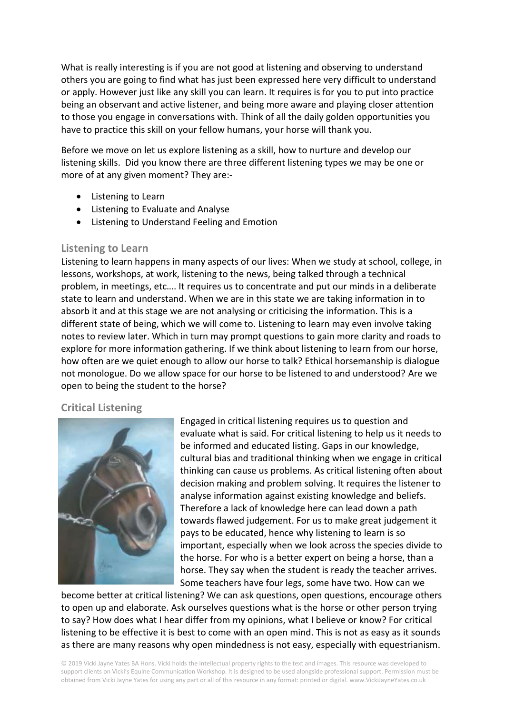What is really interesting is if you are not good at listening and observing to understand others you are going to find what has just been expressed here very difficult to understand or apply. However just like any skill you can learn. It requires is for you to put into practice being an observant and active listener, and being more aware and playing closer attention to those you engage in conversations with. Think of all the daily golden opportunities you have to practice this skill on your fellow humans, your horse will thank you.

Before we move on let us explore listening as a skill, how to nurture and develop our listening skills. Did you know there are three different listening types we may be one or more of at any given moment? They are:-

- Listening to Learn
- Listening to Evaluate and Analyse
- Listening to Understand Feeling and Emotion

#### **Listening to Learn**

Listening to learn happens in many aspects of our lives: When we study at school, college, in lessons, workshops, at work, listening to the news, being talked through a technical problem, in meetings, etc…. It requires us to concentrate and put our minds in a deliberate state to learn and understand. When we are in this state we are taking information in to absorb it and at this stage we are not analysing or criticising the information. This is a different state of being, which we will come to. Listening to learn may even involve taking notes to review later. Which in turn may prompt questions to gain more clarity and roads to explore for more information gathering. If we think about listening to learn from our horse, how often are we quiet enough to allow our horse to talk? Ethical horsemanship is dialogue not monologue. Do we allow space for our horse to be listened to and understood? Are we open to being the student to the horse?

#### **Critical Listening**



Engaged in critical listening requires us to question and evaluate what is said. For critical listening to help us it needs to be informed and educated listing. Gaps in our knowledge, cultural bias and traditional thinking when we engage in critical thinking can cause us problems. As critical listening often about decision making and problem solving. It requires the listener to analyse information against existing knowledge and beliefs. Therefore a lack of knowledge here can lead down a path towards flawed judgement. For us to make great judgement it pays to be educated, hence why listening to learn is so important, especially when we look across the species divide to the horse. For who is a better expert on being a horse, than a horse. They say when the student is ready the teacher arrives. Some teachers have four legs, some have two. How can we

become better at critical listening? We can ask questions, open questions, encourage others to open up and elaborate. Ask ourselves questions what is the horse or other person trying to say? How does what I hear differ from my opinions, what I believe or know? For critical listening to be effective it is best to come with an open mind. This is not as easy as it sounds as there are many reasons why open mindedness is not easy, especially with equestrianism.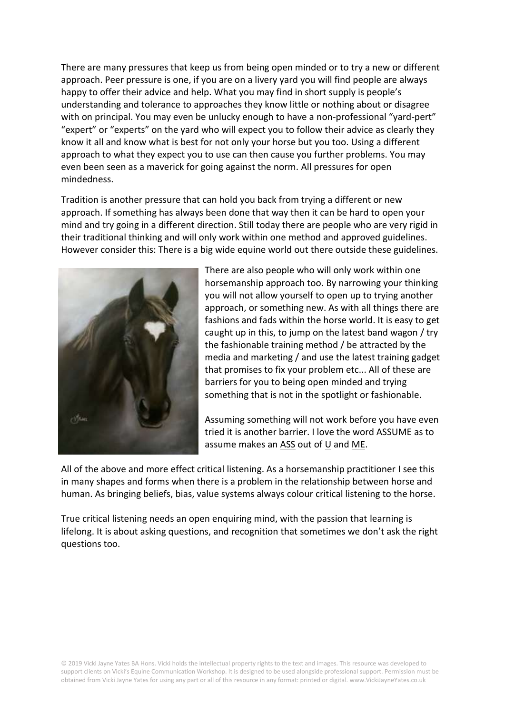There are many pressures that keep us from being open minded or to try a new or different approach. Peer pressure is one, if you are on a livery yard you will find people are always happy to offer their advice and help. What you may find in short supply is people's understanding and tolerance to approaches they know little or nothing about or disagree with on principal. You may even be unlucky enough to have a non-professional "yard-pert" "expert" or "experts" on the yard who will expect you to follow their advice as clearly they know it all and know what is best for not only your horse but you too. Using a different approach to what they expect you to use can then cause you further problems. You may even been seen as a maverick for going against the norm. All pressures for open mindedness.

Tradition is another pressure that can hold you back from trying a different or new approach. If something has always been done that way then it can be hard to open your mind and try going in a different direction. Still today there are people who are very rigid in their traditional thinking and will only work within one method and approved guidelines. However consider this: There is a big wide equine world out there outside these guidelines.



There are also people who will only work within one horsemanship approach too. By narrowing your thinking you will not allow yourself to open up to trying another approach, or something new. As with all things there are fashions and fads within the horse world. It is easy to get caught up in this, to jump on the latest band wagon / try the fashionable training method / be attracted by the media and marketing / and use the latest training gadget that promises to fix your problem etc... All of these are barriers for you to being open minded and trying something that is not in the spotlight or fashionable.

Assuming something will not work before you have even tried it is another barrier. I love the word ASSUME as to assume makes an ASS out of U and ME.

All of the above and more effect critical listening. As a horsemanship practitioner I see this in many shapes and forms when there is a problem in the relationship between horse and human. As bringing beliefs, bias, value systems always colour critical listening to the horse.

True critical listening needs an open enquiring mind, with the passion that learning is lifelong. It is about asking questions, and recognition that sometimes we don't ask the right questions too.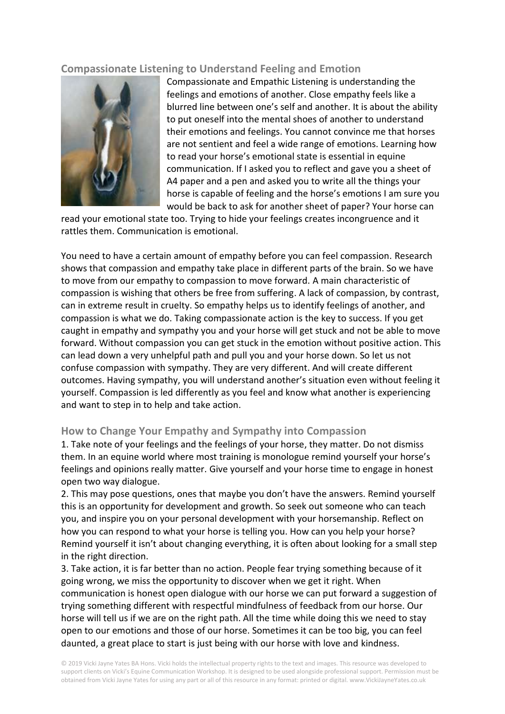# **Compassionate Listening to Understand Feeling and Emotion**



Compassionate and Empathic Listening is understanding the feelings and emotions of another. Close empathy feels like a blurred line between one's self and another. It is about the ability to put oneself into the mental shoes of another to understand their emotions and feelings. You cannot convince me that horses are not sentient and feel a wide range of emotions. Learning how to read your horse's emotional state is essential in equine communication. If I asked you to reflect and gave you a sheet of A4 paper and a pen and asked you to write all the things your horse is capable of feeling and the horse's emotions I am sure you would be back to ask for another sheet of paper? Your horse can

read your emotional state too. Trying to hide your feelings creates incongruence and it rattles them. Communication is emotional.

You need to have a certain amount of empathy before you can feel compassion. Research shows that compassion and empathy take place in different parts of the brain. So we have to move from our empathy to compassion to move forward. A main characteristic of compassion is wishing that others be free from suffering. A lack of compassion, by contrast, can in extreme result in cruelty. So empathy helps us to identify feelings of another, and compassion is what we do. Taking compassionate action is the key to success. If you get caught in empathy and sympathy you and your horse will get stuck and not be able to move forward. Without compassion you can get stuck in the emotion without positive action. This can lead down a very unhelpful path and pull you and your horse down. So let us not confuse compassion with sympathy. They are very different. And will create different outcomes. Having sympathy, you will understand another's situation even without feeling it yourself. Compassion is led differently as you feel and know what another is experiencing and want to step in to help and take action.

#### **How to Change Your Empathy and Sympathy into Compassion**

1. Take note of your feelings and the feelings of your horse, they matter. Do not dismiss them. In an equine world where most training is monologue remind yourself your horse's feelings and opinions really matter. Give yourself and your horse time to engage in honest open two way dialogue.

2. This may pose questions, ones that maybe you don't have the answers. Remind yourself this is an opportunity for development and growth. So seek out someone who can teach you, and inspire you on your personal development with your horsemanship. Reflect on how you can respond to what your horse is telling you. How can you help your horse? Remind yourself it isn't about changing everything, it is often about looking for a small step in the right direction.

3. Take action, it is far better than no action. People fear trying something because of it going wrong, we miss the opportunity to discover when we get it right. When communication is honest open dialogue with our horse we can put forward a suggestion of trying something different with respectful mindfulness of feedback from our horse. Our horse will tell us if we are on the right path. All the time while doing this we need to stay open to our emotions and those of our horse. Sometimes it can be too big, you can feel daunted, a great place to start is just being with our horse with love and kindness.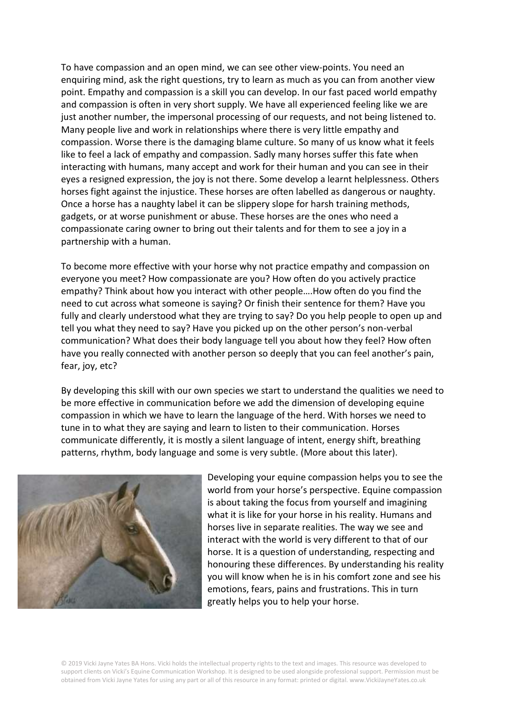To have compassion and an open mind, we can see other view-points. You need an enquiring mind, ask the right questions, try to learn as much as you can from another view point. Empathy and compassion is a skill you can develop. In our fast paced world empathy and compassion is often in very short supply. We have all experienced feeling like we are just another number, the impersonal processing of our requests, and not being listened to. Many people live and work in relationships where there is very little empathy and compassion. Worse there is the damaging blame culture. So many of us know what it feels like to feel a lack of empathy and compassion. Sadly many horses suffer this fate when interacting with humans, many accept and work for their human and you can see in their eyes a resigned expression, the joy is not there. Some develop a learnt helplessness. Others horses fight against the injustice. These horses are often labelled as dangerous or naughty. Once a horse has a naughty label it can be slippery slope for harsh training methods, gadgets, or at worse punishment or abuse. These horses are the ones who need a compassionate caring owner to bring out their talents and for them to see a joy in a partnership with a human.

To become more effective with your horse why not practice empathy and compassion on everyone you meet? How compassionate are you? How often do you actively practice empathy? Think about how you interact with other people….How often do you find the need to cut across what someone is saying? Or finish their sentence for them? Have you fully and clearly understood what they are trying to say? Do you help people to open up and tell you what they need to say? Have you picked up on the other person's non-verbal communication? What does their body language tell you about how they feel? How often have you really connected with another person so deeply that you can feel another's pain, fear, joy, etc?

By developing this skill with our own species we start to understand the qualities we need to be more effective in communication before we add the dimension of developing equine compassion in which we have to learn the language of the herd. With horses we need to tune in to what they are saying and learn to listen to their communication. Horses communicate differently, it is mostly a silent language of intent, energy shift, breathing patterns, rhythm, body language and some is very subtle. (More about this later).



Developing your equine compassion helps you to see the world from your horse's perspective. Equine compassion is about taking the focus from yourself and imagining what it is like for your horse in his reality. Humans and horses live in separate realities. The way we see and interact with the world is very different to that of our horse. It is a question of understanding, respecting and honouring these differences. By understanding his reality you will know when he is in his comfort zone and see his emotions, fears, pains and frustrations. This in turn greatly helps you to help your horse.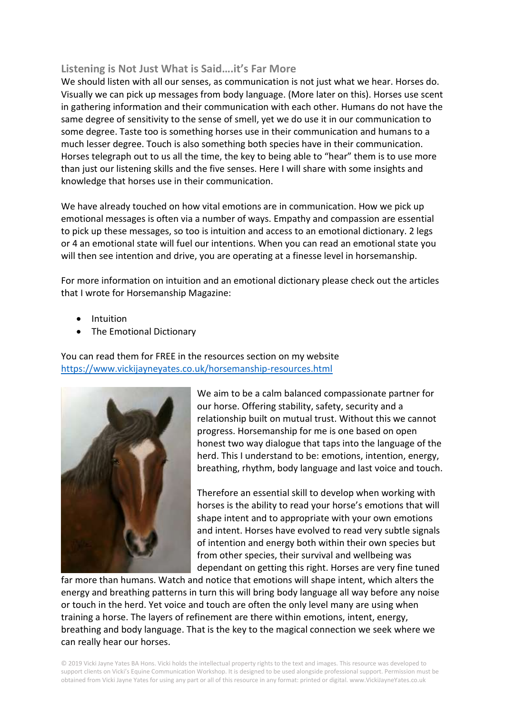# **Listening is Not Just What is Said….it's Far More**

We should listen with all our senses, as communication is not just what we hear. Horses do. Visually we can pick up messages from body language. (More later on this). Horses use scent in gathering information and their communication with each other. Humans do not have the same degree of sensitivity to the sense of smell, yet we do use it in our communication to some degree. Taste too is something horses use in their communication and humans to a much lesser degree. Touch is also something both species have in their communication. Horses telegraph out to us all the time, the key to being able to "hear" them is to use more than just our listening skills and the five senses. Here I will share with some insights and knowledge that horses use in their communication.

We have already touched on how vital emotions are in communication. How we pick up emotional messages is often via a number of ways. Empathy and compassion are essential to pick up these messages, so too is intuition and access to an emotional dictionary. 2 legs or 4 an emotional state will fuel our intentions. When you can read an emotional state you will then see intention and drive, you are operating at a finesse level in horsemanship.

For more information on intuition and an emotional dictionary please check out the articles that I wrote for Horsemanship Magazine:

- Intuition
- The Emotional Dictionary

You can read them for FREE in the resources section on my website <https://www.vickijayneyates.co.uk/horsemanship-resources.html>



We aim to be a calm balanced compassionate partner for our horse. Offering stability, safety, security and a relationship built on mutual trust. Without this we cannot progress. Horsemanship for me is one based on open honest two way dialogue that taps into the language of the herd. This I understand to be: emotions, intention, energy, breathing, rhythm, body language and last voice and touch.

Therefore an essential skill to develop when working with horses is the ability to read your horse's emotions that will shape intent and to appropriate with your own emotions and intent. Horses have evolved to read very subtle signals of intention and energy both within their own species but from other species, their survival and wellbeing was dependant on getting this right. Horses are very fine tuned

far more than humans. Watch and notice that emotions will shape intent, which alters the energy and breathing patterns in turn this will bring body language all way before any noise or touch in the herd. Yet voice and touch are often the only level many are using when training a horse. The layers of refinement are there within emotions, intent, energy, breathing and body language. That is the key to the magical connection we seek where we can really hear our horses.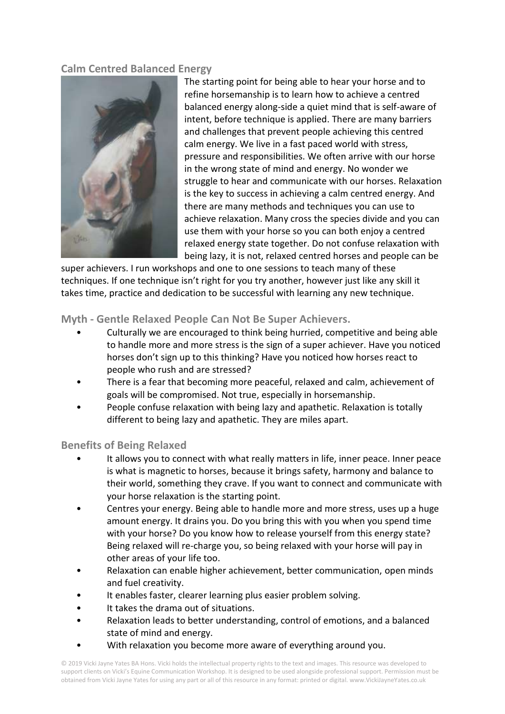# **Calm Centred Balanced Energy**



The starting point for being able to hear your horse and to refine horsemanship is to learn how to achieve a centred balanced energy along-side a quiet mind that is self-aware of intent, before technique is applied. There are many barriers and challenges that prevent people achieving this centred calm energy. We live in a fast paced world with stress, pressure and responsibilities. We often arrive with our horse in the wrong state of mind and energy. No wonder we struggle to hear and communicate with our horses. Relaxation is the key to success in achieving a calm centred energy. And there are many methods and techniques you can use to achieve relaxation. Many cross the species divide and you can use them with your horse so you can both enjoy a centred relaxed energy state together. Do not confuse relaxation with being lazy, it is not, relaxed centred horses and people can be

super achievers. I run workshops and one to one sessions to teach many of these techniques. If one technique isn't right for you try another, however just like any skill it takes time, practice and dedication to be successful with learning any new technique.

# **Myth - Gentle Relaxed People Can Not Be Super Achievers.**

- Culturally we are encouraged to think being hurried, competitive and being able to handle more and more stress is the sign of a super achiever. Have you noticed horses don't sign up to this thinking? Have you noticed how horses react to people who rush and are stressed?
- There is a fear that becoming more peaceful, relaxed and calm, achievement of goals will be compromised. Not true, especially in horsemanship.
- People confuse relaxation with being lazy and apathetic. Relaxation is totally different to being lazy and apathetic. They are miles apart.

#### **Benefits of Being Relaxed**

- It allows you to connect with what really matters in life, inner peace. Inner peace is what is magnetic to horses, because it brings safety, harmony and balance to their world, something they crave. If you want to connect and communicate with your horse relaxation is the starting point.
- Centres your energy. Being able to handle more and more stress, uses up a huge amount energy. It drains you. Do you bring this with you when you spend time with your horse? Do you know how to release yourself from this energy state? Being relaxed will re-charge you, so being relaxed with your horse will pay in other areas of your life too.
- Relaxation can enable higher achievement, better communication, open minds and fuel creativity.
- It enables faster, clearer learning plus easier problem solving.
- It takes the drama out of situations.
- Relaxation leads to better understanding, control of emotions, and a balanced state of mind and energy.
- With relaxation you become more aware of everything around you.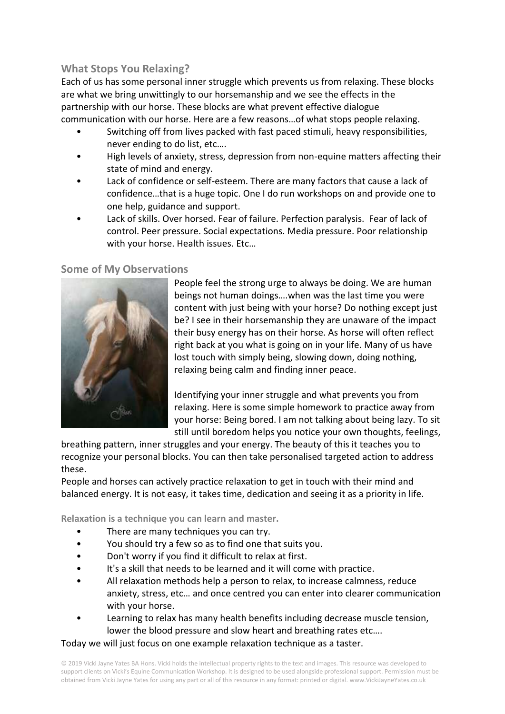# **What Stops You Relaxing?**

Each of us has some personal inner struggle which prevents us from relaxing. These blocks are what we bring unwittingly to our horsemanship and we see the effects in the partnership with our horse. These blocks are what prevent effective dialogue communication with our horse. Here are a few reasons…of what stops people relaxing.

- Switching off from lives packed with fast paced stimuli, heavy responsibilities, never ending to do list, etc….
- High levels of anxiety, stress, depression from non-equine matters affecting their state of mind and energy.
- Lack of confidence or self-esteem. There are many factors that cause a lack of confidence…that is a huge topic. One I do run workshops on and provide one to one help, guidance and support.
- Lack of skills. Over horsed. Fear of failure. Perfection paralysis. Fear of lack of control. Peer pressure. Social expectations. Media pressure. Poor relationship with your horse. Health issues. Etc…

#### **Some of My Observations**



People feel the strong urge to always be doing. We are human beings not human doings….when was the last time you were content with just being with your horse? Do nothing except just be? I see in their horsemanship they are unaware of the impact their busy energy has on their horse. As horse will often reflect right back at you what is going on in your life. Many of us have lost touch with simply being, slowing down, doing nothing, relaxing being calm and finding inner peace.

Identifying your inner struggle and what prevents you from relaxing. Here is some simple homework to practice away from your horse: Being bored. I am not talking about being lazy. To sit still until boredom helps you notice your own thoughts, feelings,

breathing pattern, inner struggles and your energy. The beauty of this it teaches you to recognize your personal blocks. You can then take personalised targeted action to address these.

People and horses can actively practice relaxation to get in touch with their mind and balanced energy. It is not easy, it takes time, dedication and seeing it as a priority in life.

**Relaxation is a technique you can learn and master.**

- There are many techniques you can try.
- You should try a few so as to find one that suits you.
- Don't worry if you find it difficult to relax at first.
- It's a skill that needs to be learned and it will come with practice.
- All relaxation methods help a person to relax, to increase calmness, reduce anxiety, stress, etc… and once centred you can enter into clearer communication with your horse.
- Learning to relax has many health benefits including decrease muscle tension, lower the blood pressure and slow heart and breathing rates etc….

Today we will just focus on one example relaxation technique as a taster.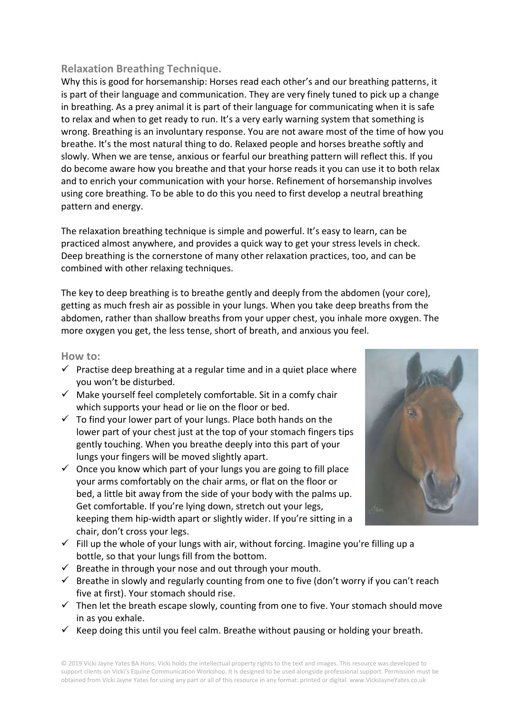# **Relaxation Breathing Technique.**

Why this is good for horsemanship: Horses read each other's and our breathing patterns, it is part of their language and communication. They are very finely tuned to pick up a change in breathing. As a prey animal it is part of their language for communicating when it is safe to relax and when to get ready to run. It's a very early warning system that something is wrong. Breathing is an involuntary response. You are not aware most of the time of how you breathe. It's the most natural thing to do. Relaxed people and horses breathe softly and slowly. When we are tense, anxious or fearful our breathing pattern will reflect this. If you do become aware how you breathe and that your horse reads it you can use it to both relax and to enrich your communication with your horse. Refinement of horsemanship involves using core breathing. To be able to do this you need to first develop a neutral breathing pattern and energy.

The relaxation breathing technique is simple and powerful. It's easy to learn, can be practiced almost anywhere, and provides a quick way to get your stress levels in check. Deep breathing is the cornerstone of many other relaxation practices, too, and can be combined with other relaxing techniques.

The key to deep breathing is to breathe gently and deeply from the abdomen (your core), getting as much fresh air as possible in your lungs. When you take deep breaths from the abdomen, rather than shallow breaths from your upper chest, you inhale more oxygen. The more oxygen you get, the less tense, short of breath, and anxious you feel.

#### **How to:**

- $\checkmark$  Practise deep breathing at a regular time and in a quiet place where you won't be disturbed.
- $\checkmark$  Make yourself feel completely comfortable. Sit in a comfy chair which supports your head or lie on the floor or bed.
- $\checkmark$  To find your lower part of your lungs. Place both hands on the lower part of your chest just at the top of your stomach fingers tips gently touching. When you breathe deeply into this part of your lungs your fingers will be moved slightly apart.
- $\checkmark$  Once you know which part of your lungs you are going to fill place your arms comfortably on the chair arms, or flat on the floor or bed, a little bit away from the side of your body with the palms up. Get comfortable. If you're lying down, stretch out your legs, keeping them hip-width apart or slightly wider. If you're sitting in a chair, don't cross your legs.
- $\checkmark$  Fill up the whole of your lungs with air, without forcing. Imagine you're filling up a bottle, so that your lungs fill from the bottom.
- $\checkmark$  Breathe in through your nose and out through your mouth.
- $\checkmark$  Breathe in slowly and regularly counting from one to five (don't worry if you can't reach five at first). Your stomach should rise.
- $\checkmark$  Then let the breath escape slowly, counting from one to five. Your stomach should move in as you exhale.
- $\checkmark$  Keep doing this until you feel calm. Breathe without pausing or holding your breath.

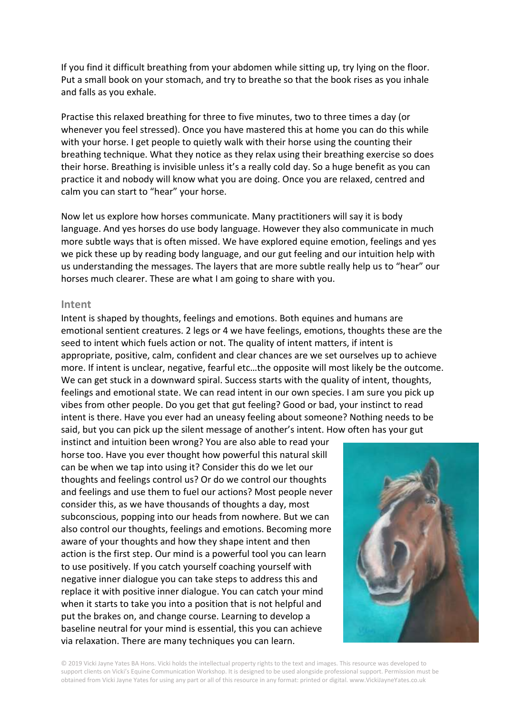If you find it difficult breathing from your abdomen while sitting up, try lying on the floor. Put a small book on your stomach, and try to breathe so that the book rises as you inhale and falls as you exhale.

Practise this relaxed breathing for three to five minutes, two to three times a day (or whenever you feel stressed). Once you have mastered this at home you can do this while with your horse. I get people to quietly walk with their horse using the counting their breathing technique. What they notice as they relax using their breathing exercise so does their horse. Breathing is invisible unless it's a really cold day. So a huge benefit as you can practice it and nobody will know what you are doing. Once you are relaxed, centred and calm you can start to "hear" your horse.

Now let us explore how horses communicate. Many practitioners will say it is body language. And yes horses do use body language. However they also communicate in much more subtle ways that is often missed. We have explored equine emotion, feelings and yes we pick these up by reading body language, and our gut feeling and our intuition help with us understanding the messages. The layers that are more subtle really help us to "hear" our horses much clearer. These are what I am going to share with you.

#### **Intent**

Intent is shaped by thoughts, feelings and emotions. Both equines and humans are emotional sentient creatures. 2 legs or 4 we have feelings, emotions, thoughts these are the seed to intent which fuels action or not. The quality of intent matters, if intent is appropriate, positive, calm, confident and clear chances are we set ourselves up to achieve more. If intent is unclear, negative, fearful etc…the opposite will most likely be the outcome. We can get stuck in a downward spiral. Success starts with the quality of intent, thoughts, feelings and emotional state. We can read intent in our own species. I am sure you pick up vibes from other people. Do you get that gut feeling? Good or bad, your instinct to read intent is there. Have you ever had an uneasy feeling about someone? Nothing needs to be said, but you can pick up the silent message of another's intent. How often has your gut

instinct and intuition been wrong? You are also able to read your horse too. Have you ever thought how powerful this natural skill can be when we tap into using it? Consider this do we let our thoughts and feelings control us? Or do we control our thoughts and feelings and use them to fuel our actions? Most people never consider this, as we have thousands of thoughts a day, most subconscious, popping into our heads from nowhere. But we can also control our thoughts, feelings and emotions. Becoming more aware of your thoughts and how they shape intent and then action is the first step. Our mind is a powerful tool you can learn to use positively. If you catch yourself coaching yourself with negative inner dialogue you can take steps to address this and replace it with positive inner dialogue. You can catch your mind when it starts to take you into a position that is not helpful and put the brakes on, and change course. Learning to develop a baseline neutral for your mind is essential, this you can achieve via relaxation. There are many techniques you can learn.

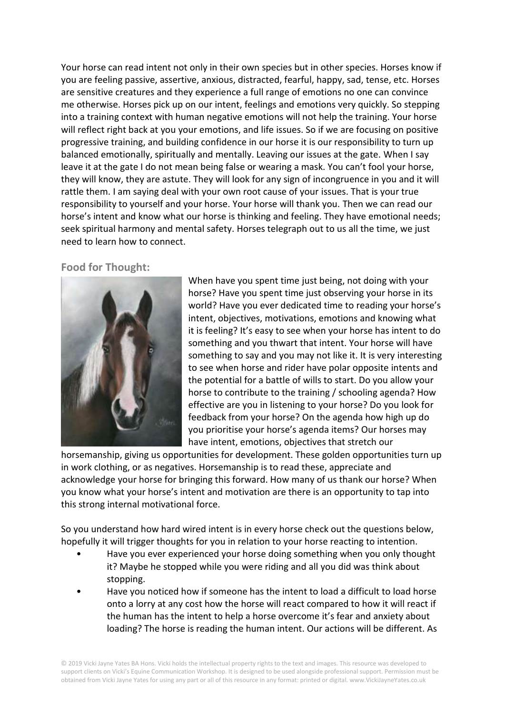Your horse can read intent not only in their own species but in other species. Horses know if you are feeling passive, assertive, anxious, distracted, fearful, happy, sad, tense, etc. Horses are sensitive creatures and they experience a full range of emotions no one can convince me otherwise. Horses pick up on our intent, feelings and emotions very quickly. So stepping into a training context with human negative emotions will not help the training. Your horse will reflect right back at you your emotions, and life issues. So if we are focusing on positive progressive training, and building confidence in our horse it is our responsibility to turn up balanced emotionally, spiritually and mentally. Leaving our issues at the gate. When I say leave it at the gate I do not mean being false or wearing a mask. You can't fool your horse, they will know, they are astute. They will look for any sign of incongruence in you and it will rattle them. I am saying deal with your own root cause of your issues. That is your true responsibility to yourself and your horse. Your horse will thank you. Then we can read our horse's intent and know what our horse is thinking and feeling. They have emotional needs; seek spiritual harmony and mental safety. Horses telegraph out to us all the time, we just need to learn how to connect.

#### **Food for Thought:**



When have you spent time just being, not doing with your horse? Have you spent time just observing your horse in its world? Have you ever dedicated time to reading your horse's intent, objectives, motivations, emotions and knowing what it is feeling? It's easy to see when your horse has intent to do something and you thwart that intent. Your horse will have something to say and you may not like it. It is very interesting to see when horse and rider have polar opposite intents and the potential for a battle of wills to start. Do you allow your horse to contribute to the training / schooling agenda? How effective are you in listening to your horse? Do you look for feedback from your horse? On the agenda how high up do you prioritise your horse's agenda items? Our horses may have intent, emotions, objectives that stretch our

horsemanship, giving us opportunities for development. These golden opportunities turn up in work clothing, or as negatives. Horsemanship is to read these, appreciate and acknowledge your horse for bringing this forward. How many of us thank our horse? When you know what your horse's intent and motivation are there is an opportunity to tap into this strong internal motivational force.

So you understand how hard wired intent is in every horse check out the questions below, hopefully it will trigger thoughts for you in relation to your horse reacting to intention.

- Have you ever experienced your horse doing something when you only thought it? Maybe he stopped while you were riding and all you did was think about stopping.
- Have you noticed how if someone has the intent to load a difficult to load horse onto a lorry at any cost how the horse will react compared to how it will react if the human has the intent to help a horse overcome it's fear and anxiety about loading? The horse is reading the human intent. Our actions will be different. As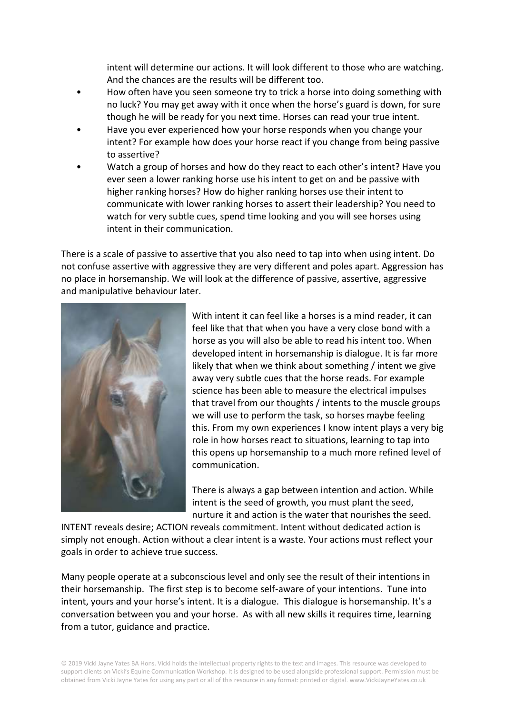intent will determine our actions. It will look different to those who are watching. And the chances are the results will be different too.

- How often have you seen someone try to trick a horse into doing something with no luck? You may get away with it once when the horse's guard is down, for sure though he will be ready for you next time. Horses can read your true intent.
- Have you ever experienced how your horse responds when you change your intent? For example how does your horse react if you change from being passive to assertive?
- Watch a group of horses and how do they react to each other's intent? Have you ever seen a lower ranking horse use his intent to get on and be passive with higher ranking horses? How do higher ranking horses use their intent to communicate with lower ranking horses to assert their leadership? You need to watch for very subtle cues, spend time looking and you will see horses using intent in their communication.

There is a scale of passive to assertive that you also need to tap into when using intent. Do not confuse assertive with aggressive they are very different and poles apart. Aggression has no place in horsemanship. We will look at the difference of passive, assertive, aggressive and manipulative behaviour later.



With intent it can feel like a horses is a mind reader, it can feel like that that when you have a very close bond with a horse as you will also be able to read his intent too. When developed intent in horsemanship is dialogue. It is far more likely that when we think about something / intent we give away very subtle cues that the horse reads. For example science has been able to measure the electrical impulses that travel from our thoughts / intents to the muscle groups we will use to perform the task, so horses maybe feeling this. From my own experiences I know intent plays a very big role in how horses react to situations, learning to tap into this opens up horsemanship to a much more refined level of communication.

There is always a gap between intention and action. While intent is the seed of growth, you must plant the seed, nurture it and action is the water that nourishes the seed.

INTENT reveals desire; ACTION reveals commitment. Intent without dedicated action is simply not enough. Action without a clear intent is a waste. Your actions must reflect your goals in order to achieve true success.

Many people operate at a subconscious level and only see the result of their intentions in their horsemanship. The first step is to become self-aware of your intentions. Tune into intent, yours and your horse's intent. It is a dialogue. This dialogue is horsemanship. It's a conversation between you and your horse. As with all new skills it requires time, learning from a tutor, guidance and practice.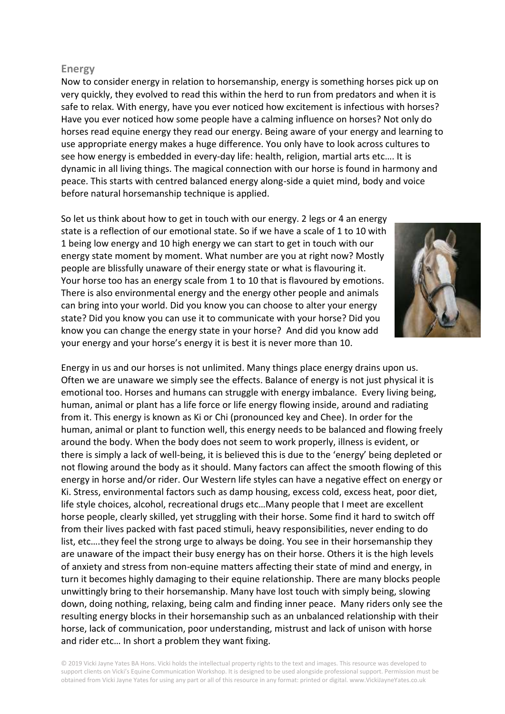#### **Energy**

Now to consider energy in relation to horsemanship, energy is something horses pick up on very quickly, they evolved to read this within the herd to run from predators and when it is safe to relax. With energy, have you ever noticed how excitement is infectious with horses? Have you ever noticed how some people have a calming influence on horses? Not only do horses read equine energy they read our energy. Being aware of your energy and learning to use appropriate energy makes a huge difference. You only have to look across cultures to see how energy is embedded in every-day life: health, religion, martial arts etc…. It is dynamic in all living things. The magical connection with our horse is found in harmony and peace. This starts with centred balanced energy along-side a quiet mind, body and voice before natural horsemanship technique is applied.

So let us think about how to get in touch with our energy. 2 legs or 4 an energy state is a reflection of our emotional state. So if we have a scale of 1 to 10 with 1 being low energy and 10 high energy we can start to get in touch with our energy state moment by moment. What number are you at right now? Mostly people are blissfully unaware of their energy state or what is flavouring it. Your horse too has an energy scale from 1 to 10 that is flavoured by emotions. There is also environmental energy and the energy other people and animals can bring into your world. Did you know you can choose to alter your energy state? Did you know you can use it to communicate with your horse? Did you know you can change the energy state in your horse? And did you know add your energy and your horse's energy it is best it is never more than 10.



Energy in us and our horses is not unlimited. Many things place energy drains upon us. Often we are unaware we simply see the effects. Balance of energy is not just physical it is emotional too. Horses and humans can struggle with energy imbalance. Every living being, human, animal or plant has a life force or life energy flowing inside, around and radiating from it. This energy is known as Ki or Chi (pronounced key and Chee). In order for the human, animal or plant to function well, this energy needs to be balanced and flowing freely around the body. When the body does not seem to work properly, illness is evident, or there is simply a lack of well-being, it is believed this is due to the 'energy' being depleted or not flowing around the body as it should. Many factors can affect the smooth flowing of this energy in horse and/or rider. Our Western life styles can have a negative effect on energy or Ki. Stress, environmental factors such as damp housing, excess cold, excess heat, poor diet, life style choices, alcohol, recreational drugs etc…Many people that I meet are excellent horse people, clearly skilled, yet struggling with their horse. Some find it hard to switch off from their lives packed with fast paced stimuli, heavy responsibilities, never ending to do list, etc….they feel the strong urge to always be doing. You see in their horsemanship they are unaware of the impact their busy energy has on their horse. Others it is the high levels of anxiety and stress from non-equine matters affecting their state of mind and energy, in turn it becomes highly damaging to their equine relationship. There are many blocks people unwittingly bring to their horsemanship. Many have lost touch with simply being, slowing down, doing nothing, relaxing, being calm and finding inner peace. Many riders only see the resulting energy blocks in their horsemanship such as an unbalanced relationship with their horse, lack of communication, poor understanding, mistrust and lack of unison with horse and rider etc… In short a problem they want fixing.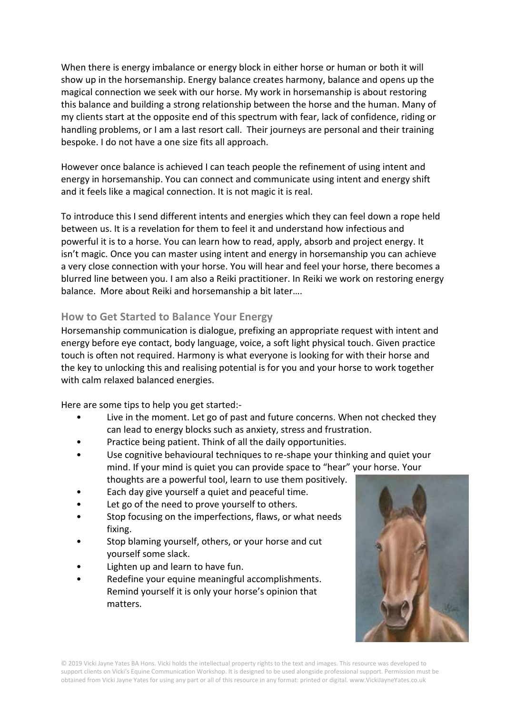When there is energy imbalance or energy block in either horse or human or both it will show up in the horsemanship. Energy balance creates harmony, balance and opens up the magical connection we seek with our horse. My work in horsemanship is about restoring this balance and building a strong relationship between the horse and the human. Many of my clients start at the opposite end of this spectrum with fear, lack of confidence, riding or handling problems, or I am a last resort call. Their journeys are personal and their training bespoke. I do not have a one size fits all approach.

However once balance is achieved I can teach people the refinement of using intent and energy in horsemanship. You can connect and communicate using intent and energy shift and it feels like a magical connection. It is not magic it is real.

To introduce this I send different intents and energies which they can feel down a rope held between us. It is a revelation for them to feel it and understand how infectious and powerful it is to a horse. You can learn how to read, apply, absorb and project energy. It isn't magic. Once you can master using intent and energy in horsemanship you can achieve a very close connection with your horse. You will hear and feel your horse, there becomes a blurred line between you. I am also a Reiki practitioner. In Reiki we work on restoring energy balance. More about Reiki and horsemanship a bit later….

# **How to Get Started to Balance Your Energy**

Horsemanship communication is dialogue, prefixing an appropriate request with intent and energy before eye contact, body language, voice, a soft light physical touch. Given practice touch is often not required. Harmony is what everyone is looking for with their horse and the key to unlocking this and realising potential is for you and your horse to work together with calm relaxed balanced energies.

Here are some tips to help you get started:-

- Live in the moment. Let go of past and future concerns. When not checked they can lead to energy blocks such as anxiety, stress and frustration.
- Practice being patient. Think of all the daily opportunities.
- Use cognitive behavioural techniques to re-shape your thinking and quiet your mind. If your mind is quiet you can provide space to "hear" your horse. Your thoughts are a powerful tool, learn to use them positively.
- Each day give yourself a quiet and peaceful time.
- Let go of the need to prove yourself to others.
- Stop focusing on the imperfections, flaws, or what needs fixing.
- Stop blaming yourself, others, or your horse and cut yourself some slack.
- Lighten up and learn to have fun.
- Redefine your equine meaningful accomplishments. Remind yourself it is only your horse's opinion that matters.

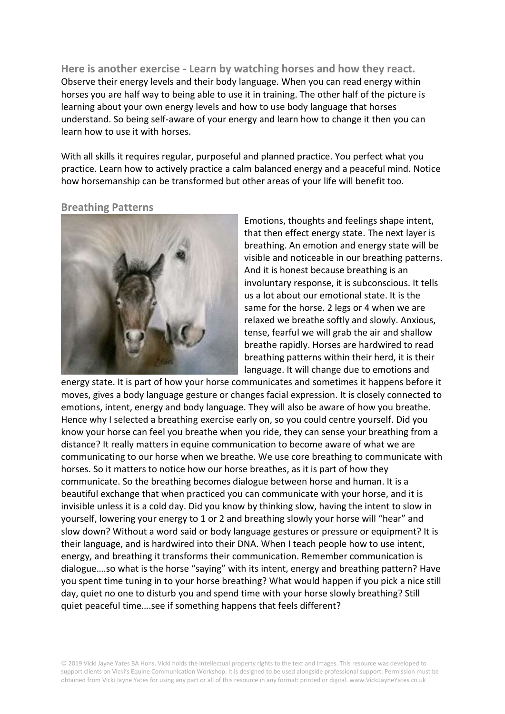**Here is another exercise - Learn by watching horses and how they react.** Observe their energy levels and their body language. When you can read energy within horses you are half way to being able to use it in training. The other half of the picture is learning about your own energy levels and how to use body language that horses understand. So being self-aware of your energy and learn how to change it then you can learn how to use it with horses.

With all skills it requires regular, purposeful and planned practice. You perfect what you practice. Learn how to actively practice a calm balanced energy and a peaceful mind. Notice how horsemanship can be transformed but other areas of your life will benefit too.

#### **Breathing Patterns**



Emotions, thoughts and feelings shape intent, that then effect energy state. The next layer is breathing. An emotion and energy state will be visible and noticeable in our breathing patterns. And it is honest because breathing is an involuntary response, it is subconscious. It tells us a lot about our emotional state. It is the same for the horse. 2 legs or 4 when we are relaxed we breathe softly and slowly. Anxious, tense, fearful we will grab the air and shallow breathe rapidly. Horses are hardwired to read breathing patterns within their herd, it is their language. It will change due to emotions and

energy state. It is part of how your horse communicates and sometimes it happens before it moves, gives a body language gesture or changes facial expression. It is closely connected to emotions, intent, energy and body language. They will also be aware of how you breathe. Hence why I selected a breathing exercise early on, so you could centre yourself. Did you know your horse can feel you breathe when you ride, they can sense your breathing from a distance? It really matters in equine communication to become aware of what we are communicating to our horse when we breathe. We use core breathing to communicate with horses. So it matters to notice how our horse breathes, as it is part of how they communicate. So the breathing becomes dialogue between horse and human. It is a beautiful exchange that when practiced you can communicate with your horse, and it is invisible unless it is a cold day. Did you know by thinking slow, having the intent to slow in yourself, lowering your energy to 1 or 2 and breathing slowly your horse will "hear" and slow down? Without a word said or body language gestures or pressure or equipment? It is their language, and is hardwired into their DNA. When I teach people how to use intent, energy, and breathing it transforms their communication. Remember communication is dialogue….so what is the horse "saying" with its intent, energy and breathing pattern? Have you spent time tuning in to your horse breathing? What would happen if you pick a nice still day, quiet no one to disturb you and spend time with your horse slowly breathing? Still quiet peaceful time….see if something happens that feels different?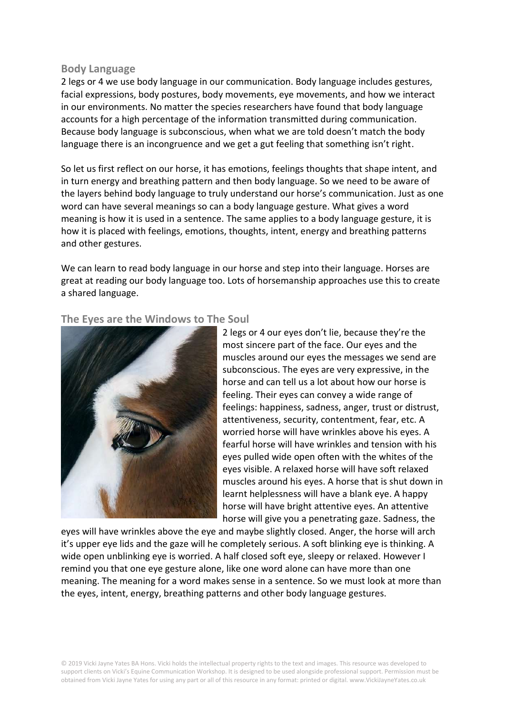#### **Body Language**

2 legs or 4 we use body language in our communication. Body language includes gestures, facial expressions, body postures, body movements, eye movements, and how we interact in our environments. No matter the species researchers have found that body language accounts for a high percentage of the information transmitted during communication. Because body language is subconscious, when what we are told doesn't match the body language there is an incongruence and we get a gut feeling that something isn't right.

So let us first reflect on our horse, it has emotions, feelings thoughts that shape intent, and in turn energy and breathing pattern and then body language. So we need to be aware of the layers behind body language to truly understand our horse's communication. Just as one word can have several meanings so can a body language gesture. What gives a word meaning is how it is used in a sentence. The same applies to a body language gesture, it is how it is placed with feelings, emotions, thoughts, intent, energy and breathing patterns and other gestures.

We can learn to read body language in our horse and step into their language. Horses are great at reading our body language too. Lots of horsemanship approaches use this to create a shared language.

#### **The Eyes are the Windows to The Soul**



2 legs or 4 our eyes don't lie, because they're the most sincere part of the face. Our eyes and the muscles around our eyes the messages we send are subconscious. The eyes are very expressive, in the horse and can tell us a lot about how our horse is feeling. Their eyes can convey a wide range of feelings: happiness, sadness, anger, trust or distrust, attentiveness, security, contentment, fear, etc. A worried horse will have wrinkles above his eyes. A fearful horse will have wrinkles and tension with his eyes pulled wide open often with the whites of the eyes visible. A relaxed horse will have soft relaxed muscles around his eyes. A horse that is shut down in learnt helplessness will have a blank eye. A happy horse will have bright attentive eyes. An attentive horse will give you a penetrating gaze. Sadness, the

eyes will have wrinkles above the eye and maybe slightly closed. Anger, the horse will arch it's upper eye lids and the gaze will he completely serious. A soft blinking eye is thinking. A wide open unblinking eye is worried. A half closed soft eye, sleepy or relaxed. However I remind you that one eye gesture alone, like one word alone can have more than one meaning. The meaning for a word makes sense in a sentence. So we must look at more than the eyes, intent, energy, breathing patterns and other body language gestures.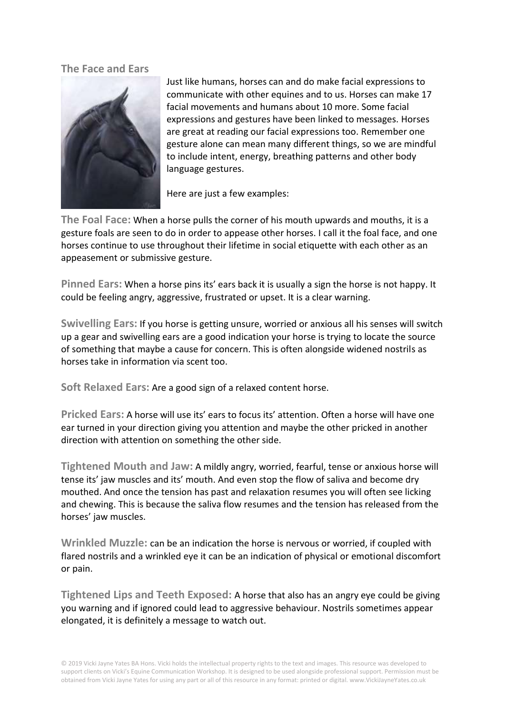# **The Face and Ears**



Just like humans, horses can and do make facial expressions to communicate with other equines and to us. Horses can make 17 facial movements and humans about 10 more. Some facial expressions and gestures have been linked to messages. Horses are great at reading our facial expressions too. Remember one gesture alone can mean many different things, so we are mindful to include intent, energy, breathing patterns and other body language gestures.

Here are just a few examples:

**The Foal Face:** When a horse pulls the corner of his mouth upwards and mouths, it is a gesture foals are seen to do in order to appease other horses. I call it the foal face, and one horses continue to use throughout their lifetime in social etiquette with each other as an appeasement or submissive gesture.

**Pinned Ears:** When a horse pins its' ears back it is usually a sign the horse is not happy. It could be feeling angry, aggressive, frustrated or upset. It is a clear warning.

**Swivelling Ears:** If you horse is getting unsure, worried or anxious all his senses will switch up a gear and swivelling ears are a good indication your horse is trying to locate the source of something that maybe a cause for concern. This is often alongside widened nostrils as horses take in information via scent too.

**Soft Relaxed Ears:** Are a good sign of a relaxed content horse.

**Pricked Ears:** A horse will use its' ears to focus its' attention. Often a horse will have one ear turned in your direction giving you attention and maybe the other pricked in another direction with attention on something the other side.

**Tightened Mouth and Jaw:** A mildly angry, worried, fearful, tense or anxious horse will tense its' jaw muscles and its' mouth. And even stop the flow of saliva and become dry mouthed. And once the tension has past and relaxation resumes you will often see licking and chewing. This is because the saliva flow resumes and the tension has released from the horses' jaw muscles.

**Wrinkled Muzzle:** can be an indication the horse is nervous or worried, if coupled with flared nostrils and a wrinkled eye it can be an indication of physical or emotional discomfort or pain.

**Tightened Lips and Teeth Exposed:** A horse that also has an angry eye could be giving you warning and if ignored could lead to aggressive behaviour. Nostrils sometimes appear elongated, it is definitely a message to watch out.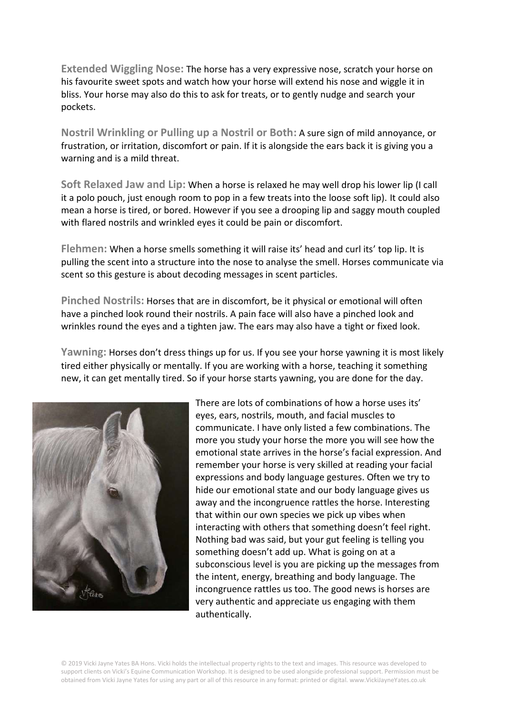**Extended Wiggling Nose:** The horse has a very expressive nose, scratch your horse on his favourite sweet spots and watch how your horse will extend his nose and wiggle it in bliss. Your horse may also do this to ask for treats, or to gently nudge and search your pockets.

**Nostril Wrinkling or Pulling up a Nostril or Both:** A sure sign of mild annoyance, or frustration, or irritation, discomfort or pain. If it is alongside the ears back it is giving you a warning and is a mild threat.

**Soft Relaxed Jaw and Lip:** When a horse is relaxed he may well drop his lower lip (I call it a polo pouch, just enough room to pop in a few treats into the loose soft lip). It could also mean a horse is tired, or bored. However if you see a drooping lip and saggy mouth coupled with flared nostrils and wrinkled eyes it could be pain or discomfort.

**Flehmen:** When a horse smells something it will raise its' head and curl its' top lip. It is pulling the scent into a structure into the nose to analyse the smell. Horses communicate via scent so this gesture is about decoding messages in scent particles.

**Pinched Nostrils:** Horses that are in discomfort, be it physical or emotional will often have a pinched look round their nostrils. A pain face will also have a pinched look and wrinkles round the eyes and a tighten jaw. The ears may also have a tight or fixed look.

**Yawning:** Horses don't dress things up for us. If you see your horse yawning it is most likely tired either physically or mentally. If you are working with a horse, teaching it something new, it can get mentally tired. So if your horse starts yawning, you are done for the day.



There are lots of combinations of how a horse uses its' eyes, ears, nostrils, mouth, and facial muscles to communicate. I have only listed a few combinations. The more you study your horse the more you will see how the emotional state arrives in the horse's facial expression. And remember your horse is very skilled at reading your facial expressions and body language gestures. Often we try to hide our emotional state and our body language gives us away and the incongruence rattles the horse. Interesting that within our own species we pick up vibes when interacting with others that something doesn't feel right. Nothing bad was said, but your gut feeling is telling you something doesn't add up. What is going on at a subconscious level is you are picking up the messages from the intent, energy, breathing and body language. The incongruence rattles us too. The good news is horses are very authentic and appreciate us engaging with them authentically.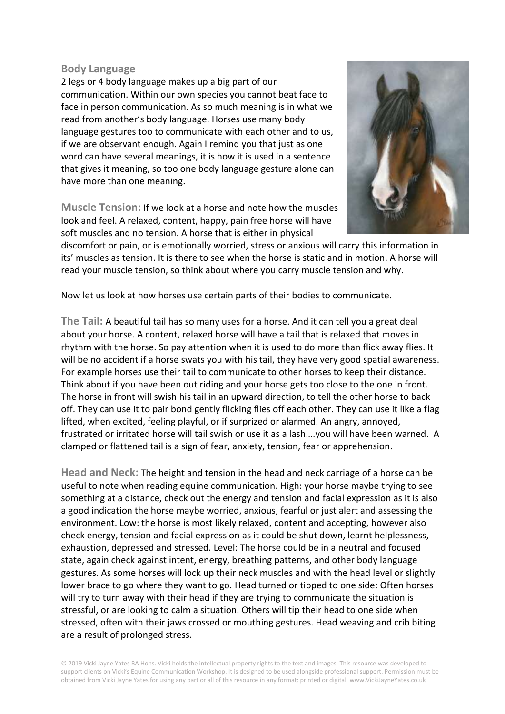#### **Body Language**

2 legs or 4 body language makes up a big part of our communication. Within our own species you cannot beat face to face in person communication. As so much meaning is in what we read from another's body language. Horses use many body language gestures too to communicate with each other and to us, if we are observant enough. Again I remind you that just as one word can have several meanings, it is how it is used in a sentence that gives it meaning, so too one body language gesture alone can have more than one meaning.

**Muscle Tension:** If we look at a horse and note how the muscles look and feel. A relaxed, content, happy, pain free horse will have soft muscles and no tension. A horse that is either in physical



discomfort or pain, or is emotionally worried, stress or anxious will carry this information in its' muscles as tension. It is there to see when the horse is static and in motion. A horse will read your muscle tension, so think about where you carry muscle tension and why.

Now let us look at how horses use certain parts of their bodies to communicate.

**The Tail:** A beautiful tail has so many uses for a horse. And it can tell you a great deal about your horse. A content, relaxed horse will have a tail that is relaxed that moves in rhythm with the horse. So pay attention when it is used to do more than flick away flies. It will be no accident if a horse swats you with his tail, they have very good spatial awareness. For example horses use their tail to communicate to other horses to keep their distance. Think about if you have been out riding and your horse gets too close to the one in front. The horse in front will swish his tail in an upward direction, to tell the other horse to back off. They can use it to pair bond gently flicking flies off each other. They can use it like a flag lifted, when excited, feeling playful, or if surprized or alarmed. An angry, annoyed, frustrated or irritated horse will tail swish or use it as a lash….you will have been warned. A clamped or flattened tail is a sign of fear, anxiety, tension, fear or apprehension.

**Head and Neck:** The height and tension in the head and neck carriage of a horse can be useful to note when reading equine communication. High: your horse maybe trying to see something at a distance, check out the energy and tension and facial expression as it is also a good indication the horse maybe worried, anxious, fearful or just alert and assessing the environment. Low: the horse is most likely relaxed, content and accepting, however also check energy, tension and facial expression as it could be shut down, learnt helplessness, exhaustion, depressed and stressed. Level: The horse could be in a neutral and focused state, again check against intent, energy, breathing patterns, and other body language gestures. As some horses will lock up their neck muscles and with the head level or slightly lower brace to go where they want to go. Head turned or tipped to one side: Often horses will try to turn away with their head if they are trying to communicate the situation is stressful, or are looking to calm a situation. Others will tip their head to one side when stressed, often with their jaws crossed or mouthing gestures. Head weaving and crib biting are a result of prolonged stress.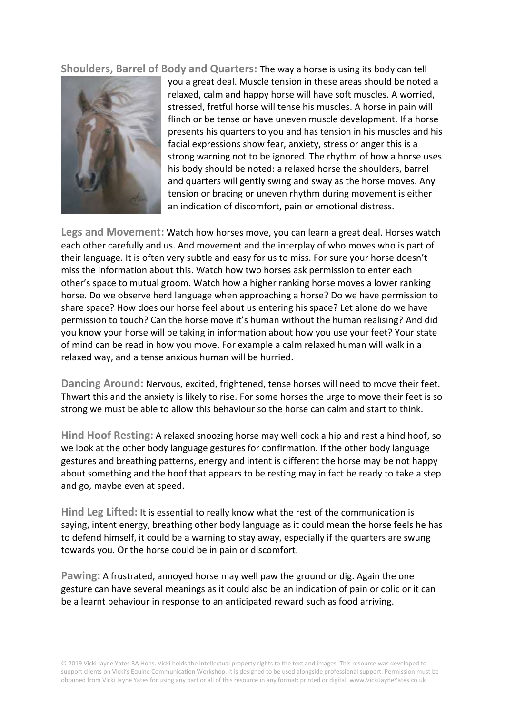**Shoulders, Barrel of Body and Quarters:** The way a horse is using its body can tell



you a great deal. Muscle tension in these areas should be noted a relaxed, calm and happy horse will have soft muscles. A worried, stressed, fretful horse will tense his muscles. A horse in pain will flinch or be tense or have uneven muscle development. If a horse presents his quarters to you and has tension in his muscles and his facial expressions show fear, anxiety, stress or anger this is a strong warning not to be ignored. The rhythm of how a horse uses his body should be noted: a relaxed horse the shoulders, barrel and quarters will gently swing and sway as the horse moves. Any tension or bracing or uneven rhythm during movement is either an indication of discomfort, pain or emotional distress.

**Legs and Movement:** Watch how horses move, you can learn a great deal. Horses watch each other carefully and us. And movement and the interplay of who moves who is part of their language. It is often very subtle and easy for us to miss. For sure your horse doesn't miss the information about this. Watch how two horses ask permission to enter each other's space to mutual groom. Watch how a higher ranking horse moves a lower ranking horse. Do we observe herd language when approaching a horse? Do we have permission to share space? How does our horse feel about us entering his space? Let alone do we have permission to touch? Can the horse move it's human without the human realising? And did you know your horse will be taking in information about how you use your feet? Your state of mind can be read in how you move. For example a calm relaxed human will walk in a relaxed way, and a tense anxious human will be hurried.

**Dancing Around:** Nervous, excited, frightened, tense horses will need to move their feet. Thwart this and the anxiety is likely to rise. For some horses the urge to move their feet is so strong we must be able to allow this behaviour so the horse can calm and start to think.

**Hind Hoof Resting:** A relaxed snoozing horse may well cock a hip and rest a hind hoof, so we look at the other body language gestures for confirmation. If the other body language gestures and breathing patterns, energy and intent is different the horse may be not happy about something and the hoof that appears to be resting may in fact be ready to take a step and go, maybe even at speed.

**Hind Leg Lifted:** It is essential to really know what the rest of the communication is saying, intent energy, breathing other body language as it could mean the horse feels he has to defend himself, it could be a warning to stay away, especially if the quarters are swung towards you. Or the horse could be in pain or discomfort.

**Pawing:** A frustrated, annoyed horse may well paw the ground or dig. Again the one gesture can have several meanings as it could also be an indication of pain or colic or it can be a learnt behaviour in response to an anticipated reward such as food arriving.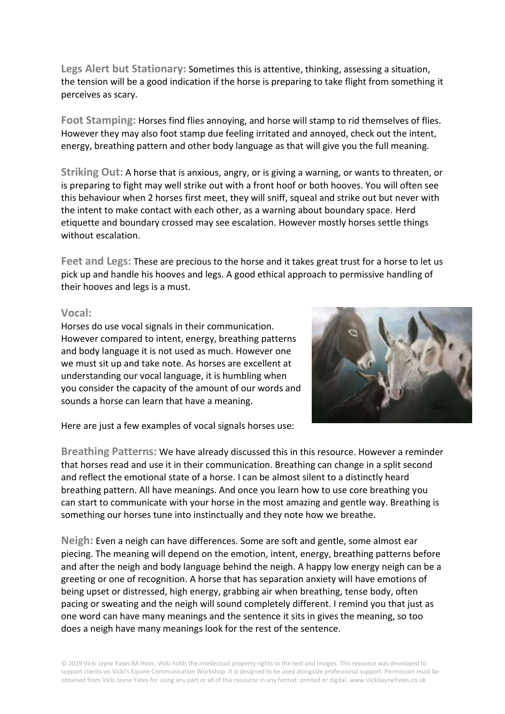**Legs Alert but Stationary:** Sometimes this is attentive, thinking, assessing a situation, the tension will be a good indication if the horse is preparing to take flight from something it perceives as scary.

**Foot Stamping:** Horses find flies annoying, and horse will stamp to rid themselves of flies. However they may also foot stamp due feeling irritated and annoyed, check out the intent, energy, breathing pattern and other body language as that will give you the full meaning.

**Striking Out:** A horse that is anxious, angry, or is giving a warning, or wants to threaten, or is preparing to fight may well strike out with a front hoof or both hooves. You will often see this behaviour when 2 horses first meet, they will sniff, squeal and strike out but never with the intent to make contact with each other, as a warning about boundary space. Herd etiquette and boundary crossed may see escalation. However mostly horses settle things without escalation.

**Feet and Legs:** These are precious to the horse and it takes great trust for a horse to let us pick up and handle his hooves and legs. A good ethical approach to permissive handling of their hooves and legs is a must.

#### **Vocal:**

Horses do use vocal signals in their communication. However compared to intent, energy, breathing patterns and body language it is not used as much. However one we must sit up and take note. As horses are excellent at understanding our vocal language, it is humbling when you consider the capacity of the amount of our words and sounds a horse can learn that have a meaning.



Here are just a few examples of vocal signals horses use:

**Breathing Patterns:** We have already discussed this in this resource. However a reminder that horses read and use it in their communication. Breathing can change in a split second and reflect the emotional state of a horse. I can be almost silent to a distinctly heard breathing pattern. All have meanings. And once you learn how to use core breathing you can start to communicate with your horse in the most amazing and gentle way. Breathing is something our horses tune into instinctually and they note how we breathe.

**Neigh:** Even a neigh can have differences. Some are soft and gentle, some almost ear piecing. The meaning will depend on the emotion, intent, energy, breathing patterns before and after the neigh and body language behind the neigh. A happy low energy neigh can be a greeting or one of recognition. A horse that has separation anxiety will have emotions of being upset or distressed, high energy, grabbing air when breathing, tense body, often pacing or sweating and the neigh will sound completely different. I remind you that just as one word can have many meanings and the sentence it sits in gives the meaning, so too does a neigh have many meanings look for the rest of the sentence.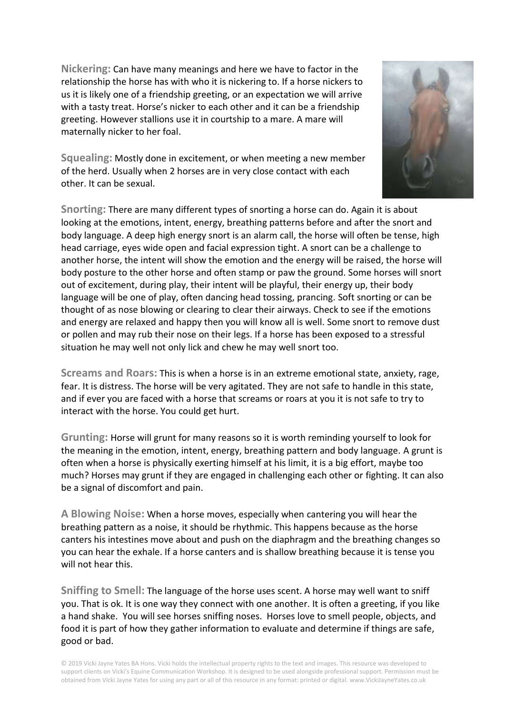**Nickering:** Can have many meanings and here we have to factor in the relationship the horse has with who it is nickering to. If a horse nickers to us it is likely one of a friendship greeting, or an expectation we will arrive with a tasty treat. Horse's nicker to each other and it can be a friendship greeting. However stallions use it in courtship to a mare. A mare will maternally nicker to her foal.



**Squealing:** Mostly done in excitement, or when meeting a new member of the herd. Usually when 2 horses are in very close contact with each other. It can be sexual.

**Snorting:** There are many different types of snorting a horse can do. Again it is about looking at the emotions, intent, energy, breathing patterns before and after the snort and body language. A deep high energy snort is an alarm call, the horse will often be tense, high head carriage, eyes wide open and facial expression tight. A snort can be a challenge to another horse, the intent will show the emotion and the energy will be raised, the horse will body posture to the other horse and often stamp or paw the ground. Some horses will snort out of excitement, during play, their intent will be playful, their energy up, their body language will be one of play, often dancing head tossing, prancing. Soft snorting or can be thought of as nose blowing or clearing to clear their airways. Check to see if the emotions and energy are relaxed and happy then you will know all is well. Some snort to remove dust or pollen and may rub their nose on their legs. If a horse has been exposed to a stressful situation he may well not only lick and chew he may well snort too.

**Screams and Roars:** This is when a horse is in an extreme emotional state, anxiety, rage, fear. It is distress. The horse will be very agitated. They are not safe to handle in this state, and if ever you are faced with a horse that screams or roars at you it is not safe to try to interact with the horse. You could get hurt.

**Grunting:** Horse will grunt for many reasons so it is worth reminding yourself to look for the meaning in the emotion, intent, energy, breathing pattern and body language. A grunt is often when a horse is physically exerting himself at his limit, it is a big effort, maybe too much? Horses may grunt if they are engaged in challenging each other or fighting. It can also be a signal of discomfort and pain.

**A Blowing Noise:** When a horse moves, especially when cantering you will hear the breathing pattern as a noise, it should be rhythmic. This happens because as the horse canters his intestines move about and push on the diaphragm and the breathing changes so you can hear the exhale. If a horse canters and is shallow breathing because it is tense you will not hear this.

**Sniffing to Smell:** The language of the horse uses scent. A horse may well want to sniff you. That is ok. It is one way they connect with one another. It is often a greeting, if you like a hand shake. You will see horses sniffing noses. Horses love to smell people, objects, and food it is part of how they gather information to evaluate and determine if things are safe, good or bad.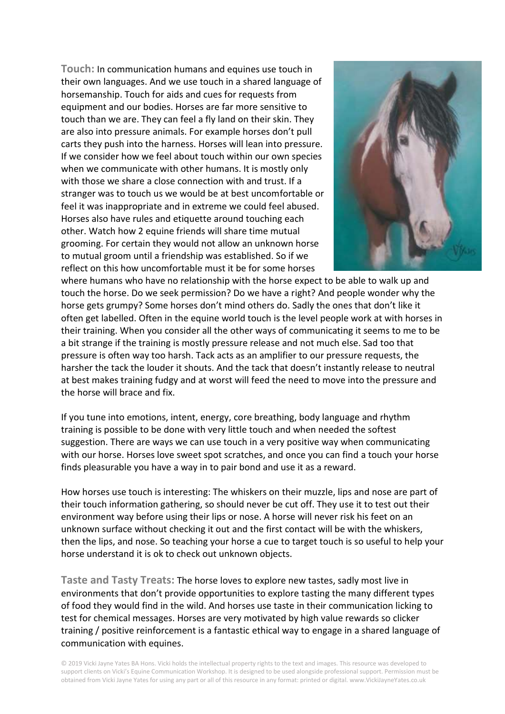**Touch:** In communication humans and equines use touch in their own languages. And we use touch in a shared language of horsemanship. Touch for aids and cues for requests from equipment and our bodies. Horses are far more sensitive to touch than we are. They can feel a fly land on their skin. They are also into pressure animals. For example horses don't pull carts they push into the harness. Horses will lean into pressure. If we consider how we feel about touch within our own species when we communicate with other humans. It is mostly only with those we share a close connection with and trust. If a stranger was to touch us we would be at best uncomfortable or feel it was inappropriate and in extreme we could feel abused. Horses also have rules and etiquette around touching each other. Watch how 2 equine friends will share time mutual grooming. For certain they would not allow an unknown horse to mutual groom until a friendship was established. So if we reflect on this how uncomfortable must it be for some horses



where humans who have no relationship with the horse expect to be able to walk up and touch the horse. Do we seek permission? Do we have a right? And people wonder why the horse gets grumpy? Some horses don't mind others do. Sadly the ones that don't like it often get labelled. Often in the equine world touch is the level people work at with horses in their training. When you consider all the other ways of communicating it seems to me to be a bit strange if the training is mostly pressure release and not much else. Sad too that pressure is often way too harsh. Tack acts as an amplifier to our pressure requests, the harsher the tack the louder it shouts. And the tack that doesn't instantly release to neutral at best makes training fudgy and at worst will feed the need to move into the pressure and the horse will brace and fix.

If you tune into emotions, intent, energy, core breathing, body language and rhythm training is possible to be done with very little touch and when needed the softest suggestion. There are ways we can use touch in a very positive way when communicating with our horse. Horses love sweet spot scratches, and once you can find a touch your horse finds pleasurable you have a way in to pair bond and use it as a reward.

How horses use touch is interesting: The whiskers on their muzzle, lips and nose are part of their touch information gathering, so should never be cut off. They use it to test out their environment way before using their lips or nose. A horse will never risk his feet on an unknown surface without checking it out and the first contact will be with the whiskers, then the lips, and nose. So teaching your horse a cue to target touch is so useful to help your horse understand it is ok to check out unknown objects.

**Taste and Tasty Treats:** The horse loves to explore new tastes, sadly most live in environments that don't provide opportunities to explore tasting the many different types of food they would find in the wild. And horses use taste in their communication licking to test for chemical messages. Horses are very motivated by high value rewards so clicker training / positive reinforcement is a fantastic ethical way to engage in a shared language of communication with equines.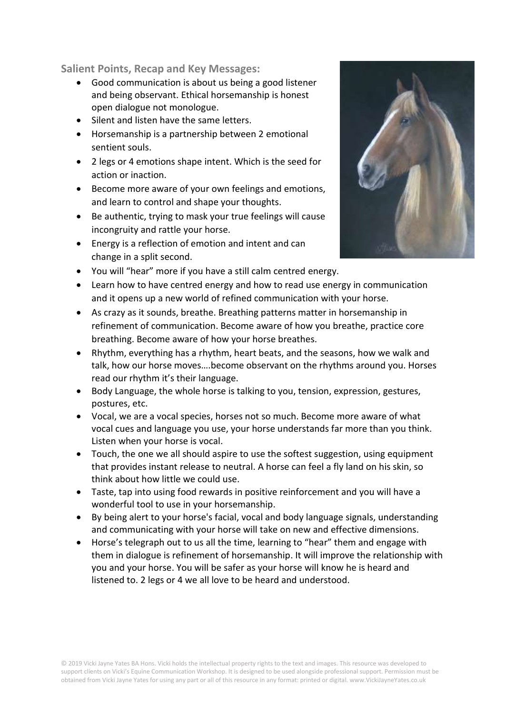**Salient Points, Recap and Key Messages:**

- Good communication is about us being a good listener and being observant. Ethical horsemanship is honest open dialogue not monologue.
- Silent and listen have the same letters.
- Horsemanship is a partnership between 2 emotional sentient souls.
- 2 legs or 4 emotions shape intent. Which is the seed for action or inaction.
- Become more aware of your own feelings and emotions, and learn to control and shape your thoughts.
- Be authentic, trying to mask your true feelings will cause incongruity and rattle your horse.
- Energy is a reflection of emotion and intent and can change in a split second.
- You will "hear" more if you have a still calm centred energy.
- Learn how to have centred energy and how to read use energy in communication and it opens up a new world of refined communication with your horse.
- As crazy as it sounds, breathe. Breathing patterns matter in horsemanship in refinement of communication. Become aware of how you breathe, practice core breathing. Become aware of how your horse breathes.
- Rhythm, everything has a rhythm, heart beats, and the seasons, how we walk and talk, how our horse moves….become observant on the rhythms around you. Horses read our rhythm it's their language.
- Body Language, the whole horse is talking to you, tension, expression, gestures, postures, etc.
- Vocal, we are a vocal species, horses not so much. Become more aware of what vocal cues and language you use, your horse understands far more than you think. Listen when your horse is vocal.
- Touch, the one we all should aspire to use the softest suggestion, using equipment that provides instant release to neutral. A horse can feel a fly land on his skin, so think about how little we could use.
- Taste, tap into using food rewards in positive reinforcement and you will have a wonderful tool to use in your horsemanship.
- By being alert to your horse's facial, vocal and body language signals, understanding and communicating with your horse will take on new and effective dimensions.
- Horse's telegraph out to us all the time, learning to "hear" them and engage with them in dialogue is refinement of horsemanship. It will improve the relationship with you and your horse. You will be safer as your horse will know he is heard and listened to. 2 legs or 4 we all love to be heard and understood.

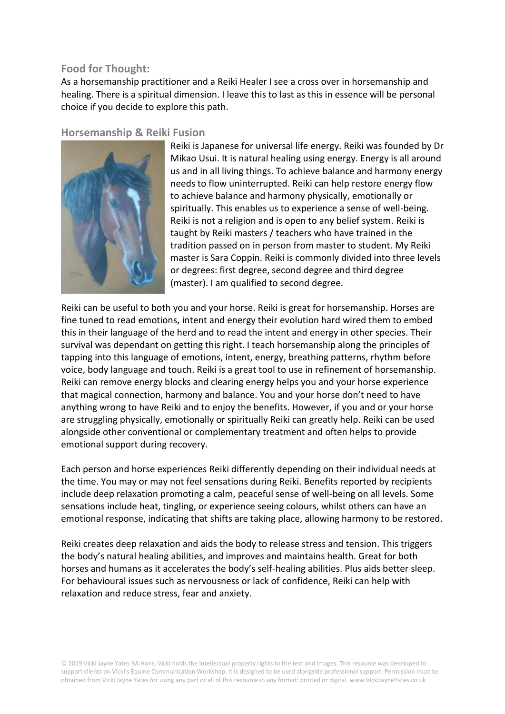# **Food for Thought:**

As a horsemanship practitioner and a Reiki Healer I see a cross over in horsemanship and healing. There is a spiritual dimension. I leave this to last as this in essence will be personal choice if you decide to explore this path.

# **Horsemanship & Reiki Fusion**



Reiki is Japanese for universal life energy. Reiki was founded by Dr Mikao Usui. It is natural healing using energy. Energy is all around us and in all living things. To achieve balance and harmony energy needs to flow uninterrupted. Reiki can help restore energy flow to achieve balance and harmony physically, emotionally or spiritually. This enables us to experience a sense of well-being. Reiki is not a religion and is open to any belief system. Reiki is taught by Reiki masters / teachers who have trained in the tradition passed on in person from master to student. My Reiki master is Sara Coppin. Reiki is commonly divided into three levels or degrees: first degree, second degree and third degree (master). I am qualified to second degree.

Reiki can be useful to both you and your horse. Reiki is great for horsemanship. Horses are fine tuned to read emotions, intent and energy their evolution hard wired them to embed this in their language of the herd and to read the intent and energy in other species. Their survival was dependant on getting this right. I teach horsemanship along the principles of tapping into this language of emotions, intent, energy, breathing patterns, rhythm before voice, body language and touch. Reiki is a great tool to use in refinement of horsemanship. Reiki can remove energy blocks and clearing energy helps you and your horse experience that magical connection, harmony and balance. You and your horse don't need to have anything wrong to have Reiki and to enjoy the benefits. However, if you and or your horse are struggling physically, emotionally or spiritually Reiki can greatly help. Reiki can be used alongside other conventional or complementary treatment and often helps to provide emotional support during recovery.

Each person and horse experiences Reiki differently depending on their individual needs at the time. You may or may not feel sensations during Reiki. Benefits reported by recipients include deep relaxation promoting a calm, peaceful sense of well-being on all levels. Some sensations include heat, tingling, or experience seeing colours, whilst others can have an emotional response, indicating that shifts are taking place, allowing harmony to be restored.

Reiki creates deep relaxation and aids the body to release stress and tension. This triggers the body's natural healing abilities, and improves and maintains health. Great for both horses and humans as it accelerates the body's self-healing abilities. Plus aids better sleep. For behavioural issues such as nervousness or lack of confidence, Reiki can help with relaxation and reduce stress, fear and anxiety.